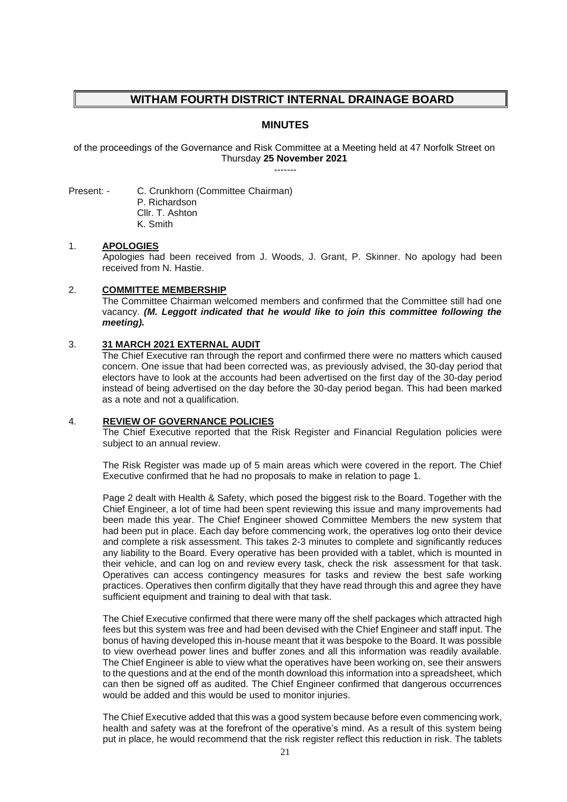# **WITHAM FOURTH DISTRICT INTERNAL DRAINAGE BOARD**

## **MINUTES**

of the proceedings of the Governance and Risk Committee at a Meeting held at 47 Norfolk Street on Thursday **25 November 2021** -------

Present: - C. Crunkhorn (Committee Chairman) P. Richardson

Cllr. T. Ashton K. Smith

#### 1. **APOLOGIES**

Apologies had been received from J. Woods, J. Grant, P. Skinner. No apology had been received from N. Hastie.

## 2. **COMMITTEE MEMBERSHIP**

The Committee Chairman welcomed members and confirmed that the Committee still had one vacancy. *(M. Leggott indicated that he would like to join this committee following the meeting).*

#### 3. **31 MARCH 2021 EXTERNAL AUDIT**

The Chief Executive ran through the report and confirmed there were no matters which caused concern. One issue that had been corrected was, as previously advised, the 30-day period that electors have to look at the accounts had been advertised on the first day of the 30-day period instead of being advertised on the day before the 30-day period began. This had been marked as a note and not a qualification.

## 4. **REVIEW OF GOVERNANCE POLICIES**

The Chief Executive reported that the Risk Register and Financial Regulation policies were subject to an annual review.

The Risk Register was made up of 5 main areas which were covered in the report. The Chief Executive confirmed that he had no proposals to make in relation to page 1.

Page 2 dealt with Health & Safety, which posed the biggest risk to the Board. Together with the Chief Engineer, a lot of time had been spent reviewing this issue and many improvements had been made this year. The Chief Engineer showed Committee Members the new system that had been put in place. Each day before commencing work, the operatives log onto their device and complete a risk assessment. This takes 2-3 minutes to complete and significantly reduces any liability to the Board. Every operative has been provided with a tablet, which is mounted in their vehicle, and can log on and review every task, check the risk assessment for that task. Operatives can access contingency measures for tasks and review the best safe working practices. Operatives then confirm digitally that they have read through this and agree they have sufficient equipment and training to deal with that task.

The Chief Executive confirmed that there were many off the shelf packages which attracted high fees but this system was free and had been devised with the Chief Engineer and staff input. The bonus of having developed this in-house meant that it was bespoke to the Board. It was possible to view overhead power lines and buffer zones and all this information was readily available. The Chief Engineer is able to view what the operatives have been working on, see their answers to the questions and at the end of the month download this information into a spreadsheet, which can then be signed off as audited. The Chief Engineer confirmed that dangerous occurrences would be added and this would be used to monitor injuries.

The Chief Executive added that this was a good system because before even commencing work, health and safety was at the forefront of the operative's mind. As a result of this system being put in place, he would recommend that the risk register reflect this reduction in risk. The tablets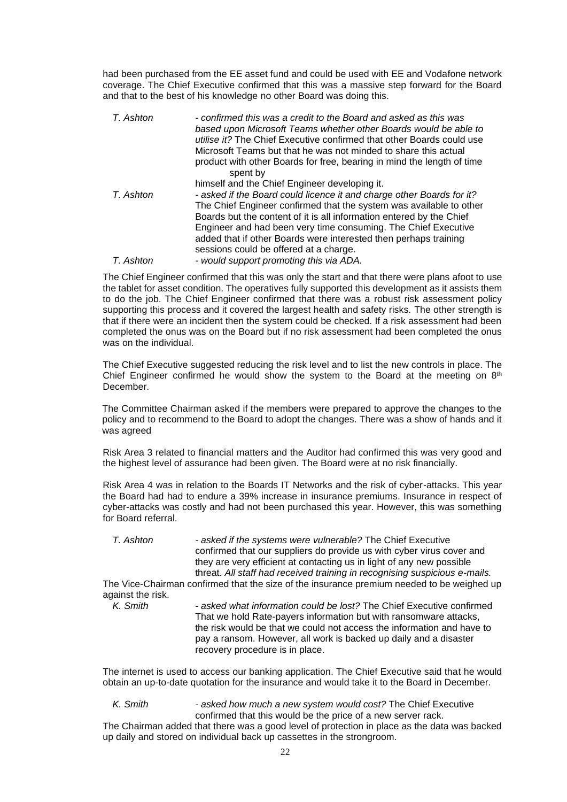had been purchased from the EE asset fund and could be used with EE and Vodafone network coverage. The Chief Executive confirmed that this was a massive step forward for the Board and that to the best of his knowledge no other Board was doing this.

| T. Ashton | - confirmed this was a credit to the Board and asked as this was<br>based upon Microsoft Teams whether other Boards would be able to<br><i>utilise it?</i> The Chief Executive confirmed that other Boards could use<br>Microsoft Teams but that he was not minded to share this actual<br>product with other Boards for free, bearing in mind the length of time<br>spent by                        |
|-----------|------------------------------------------------------------------------------------------------------------------------------------------------------------------------------------------------------------------------------------------------------------------------------------------------------------------------------------------------------------------------------------------------------|
|           | himself and the Chief Engineer developing it.                                                                                                                                                                                                                                                                                                                                                        |
| T. Ashton | - asked if the Board could licence it and charge other Boards for it?<br>The Chief Engineer confirmed that the system was available to other<br>Boards but the content of it is all information entered by the Chief<br>Engineer and had been very time consuming. The Chief Executive<br>added that if other Boards were interested then perhaps training<br>sessions could be offered at a charge. |
| T. Ashton | - would support promoting this via ADA.                                                                                                                                                                                                                                                                                                                                                              |

The Chief Engineer confirmed that this was only the start and that there were plans afoot to use the tablet for asset condition. The operatives fully supported this development as it assists them to do the job. The Chief Engineer confirmed that there was a robust risk assessment policy supporting this process and it covered the largest health and safety risks. The other strength is that if there were an incident then the system could be checked. If a risk assessment had been completed the onus was on the Board but if no risk assessment had been completed the onus was on the individual.

The Chief Executive suggested reducing the risk level and to list the new controls in place. The Chief Engineer confirmed he would show the system to the Board at the meeting on  $8<sup>th</sup>$ December.

The Committee Chairman asked if the members were prepared to approve the changes to the policy and to recommend to the Board to adopt the changes. There was a show of hands and it was agreed

Risk Area 3 related to financial matters and the Auditor had confirmed this was very good and the highest level of assurance had been given. The Board were at no risk financially.

Risk Area 4 was in relation to the Boards IT Networks and the risk of cyber-attacks. This year the Board had had to endure a 39% increase in insurance premiums. Insurance in respect of cyber-attacks was costly and had not been purchased this year. However, this was something for Board referral.

*T. Ashton - asked if the systems were vulnerable?* The Chief Executive confirmed that our suppliers do provide us with cyber virus cover and they are very efficient at contacting us in light of any new possible threat*. All staff had received training in recognising suspicious e-mails.*

The Vice-Chairman confirmed that the size of the insurance premium needed to be weighed up against the risk.<br> $K.$  Smith

*K. Smith - asked what information could be lost?* The Chief Executive confirmed That we hold Rate-payers information but with ransomware attacks, the risk would be that we could not access the information and have to pay a ransom. However, all work is backed up daily and a disaster recovery procedure is in place.

The internet is used to access our banking application. The Chief Executive said that he would obtain an up-to-date quotation for the insurance and would take it to the Board in December.

*K. Smith - asked how much a new system would cost?* The Chief Executive confirmed that this would be the price of a new server rack.

The Chairman added that there was a good level of protection in place as the data was backed up daily and stored on individual back up cassettes in the strongroom.